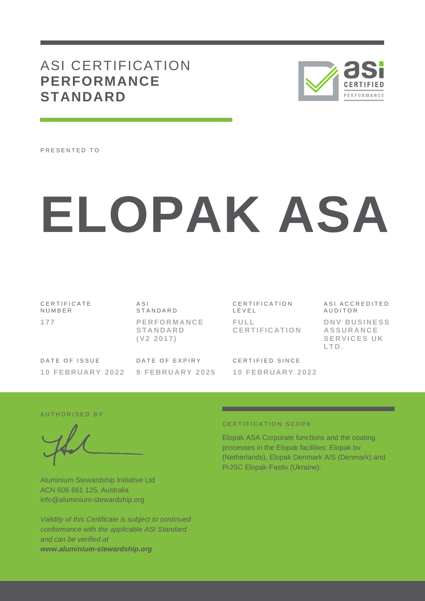## ASI CERTIFICATION **PERFORMANCE STANDARD**



PRESENTED TO

# **ELOPAK ASA**

C E R T I F I C A T E N U M B E R **1 7 7**

 $A S I$ **STANDARD P E R F O R M A N C E S T A N D A R D ( V 2 2 0 1 7 )**

CERTIFICATION L E V E L **F U L L C E R T I F I C A T I O N**

DATE OF ISSUE **1 0 F E B R U A R Y 202 2** DATE OF EXPIRY **9 F E B R U A R Y 2025**

CERTIFIED SINCE **1 0 F E B R U A R Y 2 0 2 2** A S I A C C R E D I T E D **AUDITOR** 

**DNV BUSINESS A S S U R A N C E SERVICES UK L T D .**

#### AUTHORISED BY

Aluminium Stewardship Initiative Ltd ACN 606 661 125, Australia info@aluminium-stewardship.org

*Validity of this Certificate is subject to continued conformance with the applicable ASI Standard and can be verified at www.aluminium-stewardship.org*

#### CERTIFICATION SCOPE

Elopak ASA Corporate functions and the coating processes in the Elopak facilities: Elopak bv (Netherlands), Elopak Denmark A/S (Denmark) and PrJSC Elopak-Fastiv (Ukraine).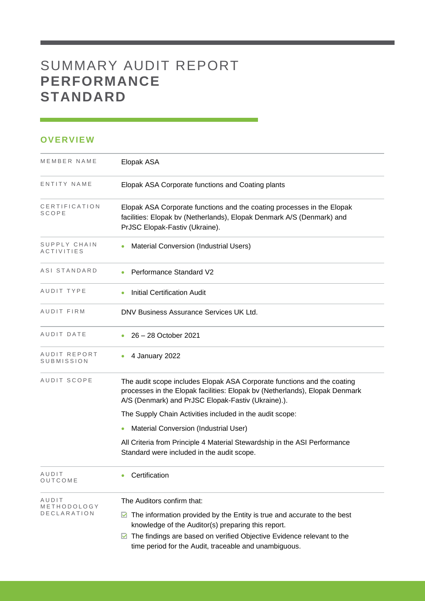# SUMMARY AUDIT REPORT **PERFORMANCE STANDARD**

## **OVERVIEW**

| MEMBER NAME                       | Elopak ASA                                                                                                                                                                                                   |
|-----------------------------------|--------------------------------------------------------------------------------------------------------------------------------------------------------------------------------------------------------------|
| ENTITY NAME                       | Elopak ASA Corporate functions and Coating plants                                                                                                                                                            |
| CERTIFICATION<br>SCOPE            | Elopak ASA Corporate functions and the coating processes in the Elopak<br>facilities: Elopak bv (Netherlands), Elopak Denmark A/S (Denmark) and<br>PrJSC Elopak-Fastiv (Ukraine).                            |
| SUPPLY CHAIN<br><b>ACTIVITIES</b> | Material Conversion (Industrial Users)                                                                                                                                                                       |
| ASI STANDARD                      | Performance Standard V2                                                                                                                                                                                      |
| AUDIT TYPE                        | <b>Initial Certification Audit</b>                                                                                                                                                                           |
| AUDIT FIRM                        | DNV Business Assurance Services UK Ltd.                                                                                                                                                                      |
| AUDIT DATE                        | 26 - 28 October 2021                                                                                                                                                                                         |
| AUDIT REPORT<br>SUBMISSION        | 4 January 2022                                                                                                                                                                                               |
| AUDIT SCOPE                       | The audit scope includes Elopak ASA Corporate functions and the coating<br>processes in the Elopak facilities: Elopak bv (Netherlands), Elopak Denmark<br>A/S (Denmark) and PrJSC Elopak-Fastiv (Ukraine).). |
|                                   | The Supply Chain Activities included in the audit scope:                                                                                                                                                     |
|                                   | Material Conversion (Industrial User)                                                                                                                                                                        |
|                                   | All Criteria from Principle 4 Material Stewardship in the ASI Performance<br>Standard were included in the audit scope.                                                                                      |
| AUDIT<br>OUTCOME                  | Certification                                                                                                                                                                                                |
| AUDIT<br>METHODOLOGY              | The Auditors confirm that:                                                                                                                                                                                   |
| <b>DECLARATION</b>                | The information provided by the Entity is true and accurate to the best<br>M<br>knowledge of the Auditor(s) preparing this report.                                                                           |
|                                   | The findings are based on verified Objective Evidence relevant to the<br>⊻<br>time period for the Audit, traceable and unambiguous.                                                                          |

and the control of the control of the control of the control of the control of the control of the control of the control of the control of the control of the control of the control of the control of the control of the cont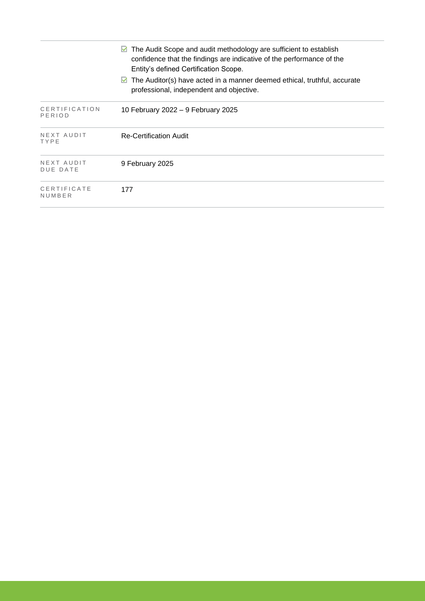|                         | The Audit Scope and audit methodology are sufficient to establish<br>M<br>confidence that the findings are indicative of the performance of the<br>Entity's defined Certification Scope. |
|-------------------------|------------------------------------------------------------------------------------------------------------------------------------------------------------------------------------------|
|                         | The Auditor(s) have acted in a manner deemed ethical, truthful, accurate<br>M<br>professional, independent and objective.                                                                |
| CERTIFICATION<br>PERIOD | 10 February 2022 – 9 February 2025                                                                                                                                                       |
| NEXT AUDIT<br>TYPE      | <b>Re-Certification Audit</b>                                                                                                                                                            |
| NEXT AUDIT<br>DUE DATE  | 9 February 2025                                                                                                                                                                          |
| CERTIFICATE<br>NUMBER   | 177                                                                                                                                                                                      |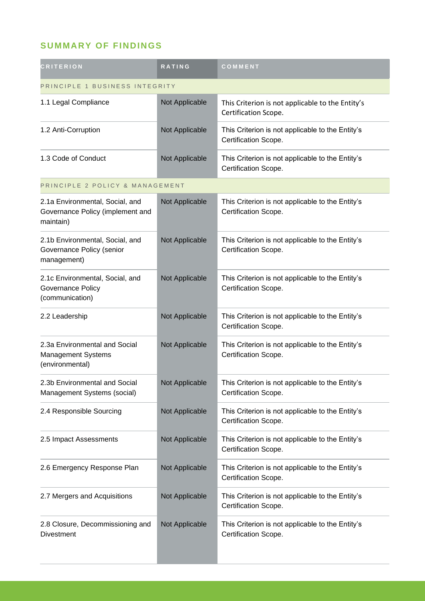## **SUMMARY OF FINDINGS**

| <b>CRITERION</b>                                                                 | <b>RATING</b>  | COMMENT                                                                  |  |
|----------------------------------------------------------------------------------|----------------|--------------------------------------------------------------------------|--|
| PRINCIPLE 1 BUSINESS INTEGRITY                                                   |                |                                                                          |  |
| 1.1 Legal Compliance                                                             | Not Applicable | This Criterion is not applicable to the Entity's<br>Certification Scope. |  |
| 1.2 Anti-Corruption                                                              | Not Applicable | This Criterion is not applicable to the Entity's<br>Certification Scope. |  |
| 1.3 Code of Conduct                                                              | Not Applicable | This Criterion is not applicable to the Entity's<br>Certification Scope. |  |
| PRINCIPLE 2 POLICY & MANAGEMENT                                                  |                |                                                                          |  |
| 2.1a Environmental, Social, and<br>Governance Policy (implement and<br>maintain) | Not Applicable | This Criterion is not applicable to the Entity's<br>Certification Scope. |  |
| 2.1b Environmental, Social, and<br>Governance Policy (senior<br>management)      | Not Applicable | This Criterion is not applicable to the Entity's<br>Certification Scope. |  |
| 2.1c Environmental, Social, and<br>Governance Policy<br>(communication)          | Not Applicable | This Criterion is not applicable to the Entity's<br>Certification Scope. |  |
| 2.2 Leadership                                                                   | Not Applicable | This Criterion is not applicable to the Entity's<br>Certification Scope. |  |
| 2.3a Environmental and Social<br><b>Management Systems</b><br>(environmental)    | Not Applicable | This Criterion is not applicable to the Entity's<br>Certification Scope. |  |
| 2.3b Environmental and Social<br>Management Systems (social)                     | Not Applicable | This Criterion is not applicable to the Entity's<br>Certification Scope. |  |
| 2.4 Responsible Sourcing                                                         | Not Applicable | This Criterion is not applicable to the Entity's<br>Certification Scope. |  |
| 2.5 Impact Assessments                                                           | Not Applicable | This Criterion is not applicable to the Entity's<br>Certification Scope. |  |
| 2.6 Emergency Response Plan                                                      | Not Applicable | This Criterion is not applicable to the Entity's<br>Certification Scope. |  |
| 2.7 Mergers and Acquisitions                                                     | Not Applicable | This Criterion is not applicable to the Entity's<br>Certification Scope. |  |
| 2.8 Closure, Decommissioning and<br><b>Divestment</b>                            | Not Applicable | This Criterion is not applicable to the Entity's<br>Certification Scope. |  |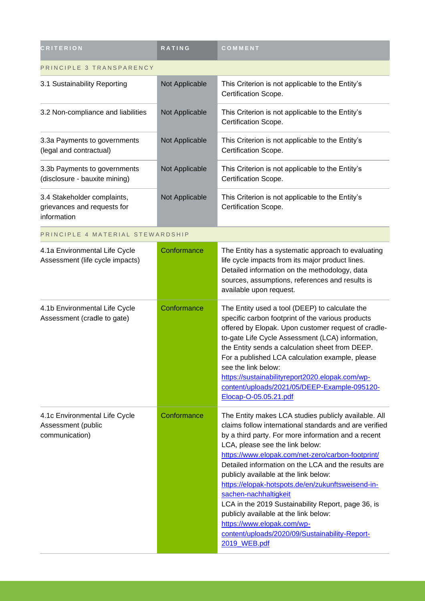| <b>CRITERION</b>                                                          | <b>RATING</b>  | COMMENT                                                                                                                                                                                                                                                                                                                                                                                                                                                                                                                                                                                                                                    |  |
|---------------------------------------------------------------------------|----------------|--------------------------------------------------------------------------------------------------------------------------------------------------------------------------------------------------------------------------------------------------------------------------------------------------------------------------------------------------------------------------------------------------------------------------------------------------------------------------------------------------------------------------------------------------------------------------------------------------------------------------------------------|--|
| PRINCIPLE 3 TRANSPARENCY                                                  |                |                                                                                                                                                                                                                                                                                                                                                                                                                                                                                                                                                                                                                                            |  |
| 3.1 Sustainability Reporting                                              | Not Applicable | This Criterion is not applicable to the Entity's<br>Certification Scope.                                                                                                                                                                                                                                                                                                                                                                                                                                                                                                                                                                   |  |
| 3.2 Non-compliance and liabilities                                        | Not Applicable | This Criterion is not applicable to the Entity's<br>Certification Scope.                                                                                                                                                                                                                                                                                                                                                                                                                                                                                                                                                                   |  |
| 3.3a Payments to governments<br>(legal and contractual)                   | Not Applicable | This Criterion is not applicable to the Entity's<br>Certification Scope.                                                                                                                                                                                                                                                                                                                                                                                                                                                                                                                                                                   |  |
| 3.3b Payments to governments<br>(disclosure - bauxite mining)             | Not Applicable | This Criterion is not applicable to the Entity's<br>Certification Scope.                                                                                                                                                                                                                                                                                                                                                                                                                                                                                                                                                                   |  |
| 3.4 Stakeholder complaints,<br>grievances and requests for<br>information | Not Applicable | This Criterion is not applicable to the Entity's<br>Certification Scope.                                                                                                                                                                                                                                                                                                                                                                                                                                                                                                                                                                   |  |
| PRINCIPLE 4 MATERIAL STEWARDSHIP                                          |                |                                                                                                                                                                                                                                                                                                                                                                                                                                                                                                                                                                                                                                            |  |
| 4.1a Environmental Life Cycle<br>Assessment (life cycle impacts)          | Conformance    | The Entity has a systematic approach to evaluating<br>life cycle impacts from its major product lines.<br>Detailed information on the methodology, data<br>sources, assumptions, references and results is<br>available upon request.                                                                                                                                                                                                                                                                                                                                                                                                      |  |
| 4.1b Environmental Life Cycle<br>Assessment (cradle to gate)              | Conformance    | The Entity used a tool (DEEP) to calculate the<br>specific carbon footprint of the various products<br>offered by Elopak. Upon customer request of cradle-<br>to-gate Life Cycle Assessment (LCA) information,<br>the Entity sends a calculation sheet from DEEP.<br>For a published LCA calculation example, please<br>see the link below:<br>https://sustainabilityreport2020.elopak.com/wp-<br>content/uploads/2021/05/DEEP-Example-095120-<br>Elocap-O-05.05.21.pdf                                                                                                                                                                    |  |
| 4.1c Environmental Life Cycle<br>Assessment (public<br>communication)     | Conformance    | The Entity makes LCA studies publicly available. All<br>claims follow international standards and are verified<br>by a third party. For more information and a recent<br>LCA, please see the link below:<br>https://www.elopak.com/net-zero/carbon-footprint/<br>Detailed information on the LCA and the results are<br>publicly available at the link below:<br>https://elopak-hotspots.de/en/zukunftsweisend-in-<br>sachen-nachhaltigkeit<br>LCA in the 2019 Sustainability Report, page 36, is<br>publicly available at the link below:<br>https://www.elopak.com/wp-<br>content/uploads/2020/09/Sustainability-Report-<br>2019_WEB.pdf |  |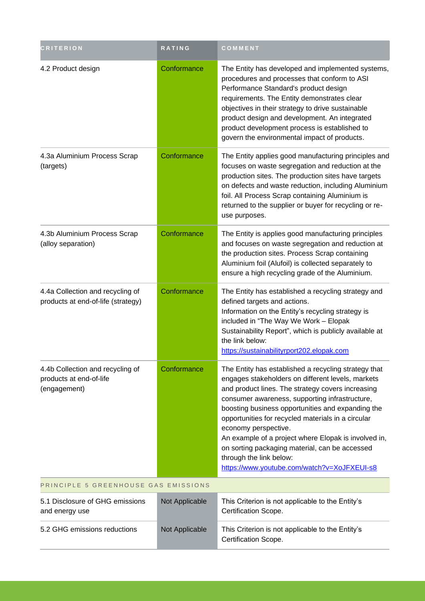| <b>CRITERION</b>                                                            | <b>RATING</b>  | COMMENT                                                                                                                                                                                                                                                                                                                                                                                                                                                                                                                                 |  |
|-----------------------------------------------------------------------------|----------------|-----------------------------------------------------------------------------------------------------------------------------------------------------------------------------------------------------------------------------------------------------------------------------------------------------------------------------------------------------------------------------------------------------------------------------------------------------------------------------------------------------------------------------------------|--|
| 4.2 Product design                                                          | Conformance    | The Entity has developed and implemented systems,<br>procedures and processes that conform to ASI<br>Performance Standard's product design<br>requirements. The Entity demonstrates clear<br>objectives in their strategy to drive sustainable<br>product design and development. An integrated<br>product development process is established to<br>govern the environmental impact of products.                                                                                                                                        |  |
| 4.3a Aluminium Process Scrap<br>(targets)                                   | Conformance    | The Entity applies good manufacturing principles and<br>focuses on waste segregation and reduction at the<br>production sites. The production sites have targets<br>on defects and waste reduction, including Aluminium<br>foil. All Process Scrap containing Aluminium is<br>returned to the supplier or buyer for recycling or re-<br>use purposes.                                                                                                                                                                                   |  |
| 4.3b Aluminium Process Scrap<br>(alloy separation)                          | Conformance    | The Entity is applies good manufacturing principles<br>and focuses on waste segregation and reduction at<br>the production sites. Process Scrap containing<br>Aluminium foil (Alufoil) is collected separately to<br>ensure a high recycling grade of the Aluminium.                                                                                                                                                                                                                                                                    |  |
| 4.4a Collection and recycling of<br>products at end-of-life (strategy)      | Conformance    | The Entity has established a recycling strategy and<br>defined targets and actions.<br>Information on the Entity's recycling strategy is<br>included in "The Way We Work - Elopak<br>Sustainability Report", which is publicly available at<br>the link below:<br>https://sustainabilityrport202.elopak.com                                                                                                                                                                                                                             |  |
| 4.4b Collection and recycling of<br>products at end-of-life<br>(engagement) | Conformance    | The Entity has established a recycling strategy that<br>engages stakeholders on different levels, markets<br>and product lines. The strategy covers increasing<br>consumer awareness, supporting infrastructure,<br>boosting business opportunities and expanding the<br>opportunities for recycled materials in a circular<br>economy perspective.<br>An example of a project where Elopak is involved in,<br>on sorting packaging material, can be accessed<br>through the link below:<br>https://www.youtube.com/watch?v=XoJFXEUI-s8 |  |
| PRINCIPLE 5 GREENHOUSE GAS EMISSIONS                                        |                |                                                                                                                                                                                                                                                                                                                                                                                                                                                                                                                                         |  |
| 5.1 Disclosure of GHG emissions<br>and energy use                           | Not Applicable | This Criterion is not applicable to the Entity's<br>Certification Scope.                                                                                                                                                                                                                                                                                                                                                                                                                                                                |  |
| 5.2 GHG emissions reductions                                                | Not Applicable | This Criterion is not applicable to the Entity's<br>Certification Scope.                                                                                                                                                                                                                                                                                                                                                                                                                                                                |  |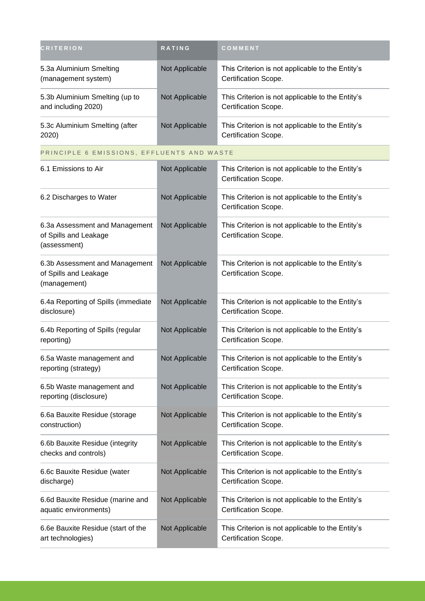| <b>CRITERION</b>                                      | <b>RATING</b>  | COMMENT                                                                  |
|-------------------------------------------------------|----------------|--------------------------------------------------------------------------|
| 5.3a Aluminium Smelting<br>(management system)        | Not Applicable | This Criterion is not applicable to the Entity's<br>Certification Scope. |
| 5.3b Aluminium Smelting (up to<br>and including 2020) | Not Applicable | This Criterion is not applicable to the Entity's<br>Certification Scope. |
| 5.3c Aluminium Smelting (after<br>2020)               | Not Applicable | This Criterion is not applicable to the Entity's<br>Certification Scope. |
| PRINCIPLE 6 EMISSIONS, EFFLUENTS AND WASTE            |                |                                                                          |
|                                                       |                |                                                                          |

| 6.1 Emissions to Air                                                    | Not Applicable | This Criterion is not applicable to the Entity's<br>Certification Scope.        |
|-------------------------------------------------------------------------|----------------|---------------------------------------------------------------------------------|
| 6.2 Discharges to Water                                                 | Not Applicable | This Criterion is not applicable to the Entity's<br>Certification Scope.        |
| 6.3a Assessment and Management<br>of Spills and Leakage<br>(assessment) | Not Applicable | This Criterion is not applicable to the Entity's<br>Certification Scope.        |
| 6.3b Assessment and Management<br>of Spills and Leakage<br>(management) | Not Applicable | This Criterion is not applicable to the Entity's<br>Certification Scope.        |
| 6.4a Reporting of Spills (immediate<br>disclosure)                      | Not Applicable | This Criterion is not applicable to the Entity's<br>Certification Scope.        |
| 6.4b Reporting of Spills (regular<br>reporting)                         | Not Applicable | This Criterion is not applicable to the Entity's<br>Certification Scope.        |
| 6.5a Waste management and<br>reporting (strategy)                       | Not Applicable | This Criterion is not applicable to the Entity's<br>Certification Scope.        |
| 6.5b Waste management and<br>reporting (disclosure)                     | Not Applicable | This Criterion is not applicable to the Entity's<br>Certification Scope.        |
| 6.6a Bauxite Residue (storage<br>construction)                          | Not Applicable | This Criterion is not applicable to the Entity's<br>Certification Scope.        |
| 6.6b Bauxite Residue (integrity<br>checks and controls)                 | Not Applicable | This Criterion is not applicable to the Entity's<br>Certification Scope.        |
| 6.6c Bauxite Residue (water<br>discharge)                               | Not Applicable | This Criterion is not applicable to the Entity's<br><b>Certification Scope.</b> |
| 6.6d Bauxite Residue (marine and<br>aquatic environments)               | Not Applicable | This Criterion is not applicable to the Entity's<br>Certification Scope.        |
| 6.6e Bauxite Residue (start of the<br>art technologies)                 | Not Applicable | This Criterion is not applicable to the Entity's<br>Certification Scope.        |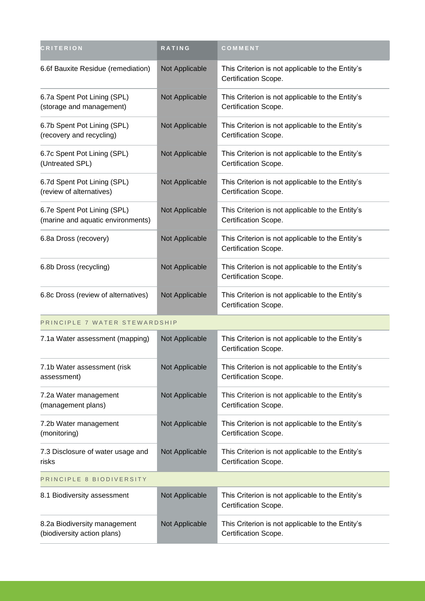| <b>CRITERION</b>                                                 | <b>RATING</b>  | COMMENT                                                                  |  |  |
|------------------------------------------------------------------|----------------|--------------------------------------------------------------------------|--|--|
| 6.6f Bauxite Residue (remediation)                               | Not Applicable | This Criterion is not applicable to the Entity's<br>Certification Scope. |  |  |
| 6.7a Spent Pot Lining (SPL)<br>(storage and management)          | Not Applicable | This Criterion is not applicable to the Entity's<br>Certification Scope. |  |  |
| 6.7b Spent Pot Lining (SPL)<br>(recovery and recycling)          | Not Applicable | This Criterion is not applicable to the Entity's<br>Certification Scope. |  |  |
| 6.7c Spent Pot Lining (SPL)<br>(Untreated SPL)                   | Not Applicable | This Criterion is not applicable to the Entity's<br>Certification Scope. |  |  |
| 6.7d Spent Pot Lining (SPL)<br>(review of alternatives)          | Not Applicable | This Criterion is not applicable to the Entity's<br>Certification Scope. |  |  |
| 6.7e Spent Pot Lining (SPL)<br>(marine and aquatic environments) | Not Applicable | This Criterion is not applicable to the Entity's<br>Certification Scope. |  |  |
| 6.8a Dross (recovery)                                            | Not Applicable | This Criterion is not applicable to the Entity's<br>Certification Scope. |  |  |
| 6.8b Dross (recycling)                                           | Not Applicable | This Criterion is not applicable to the Entity's<br>Certification Scope. |  |  |
| 6.8c Dross (review of alternatives)                              | Not Applicable | This Criterion is not applicable to the Entity's<br>Certification Scope. |  |  |
| PRINCIPLE 7 WATER STEWARDSHIP                                    |                |                                                                          |  |  |
| 7.1a Water assessment (mapping)                                  | Not Applicable | This Criterion is not applicable to the Entity's<br>Certification Scope. |  |  |
| 7.1b Water assessment (risk<br>assessment)                       | Not Applicable | This Criterion is not applicable to the Entity's<br>Certification Scope. |  |  |
| 7.2a Water management<br>(management plans)                      | Not Applicable | This Criterion is not applicable to the Entity's<br>Certification Scope. |  |  |
| 7.2b Water management<br>(monitoring)                            | Not Applicable | This Criterion is not applicable to the Entity's<br>Certification Scope. |  |  |
| 7.3 Disclosure of water usage and<br>risks                       | Not Applicable | This Criterion is not applicable to the Entity's<br>Certification Scope. |  |  |
| PRINCIPLE 8 BIODIVERSITY                                         |                |                                                                          |  |  |
| 8.1 Biodiversity assessment                                      | Not Applicable | This Criterion is not applicable to the Entity's<br>Certification Scope. |  |  |
| 8.2a Biodiversity management<br>(biodiversity action plans)      | Not Applicable | This Criterion is not applicable to the Entity's<br>Certification Scope. |  |  |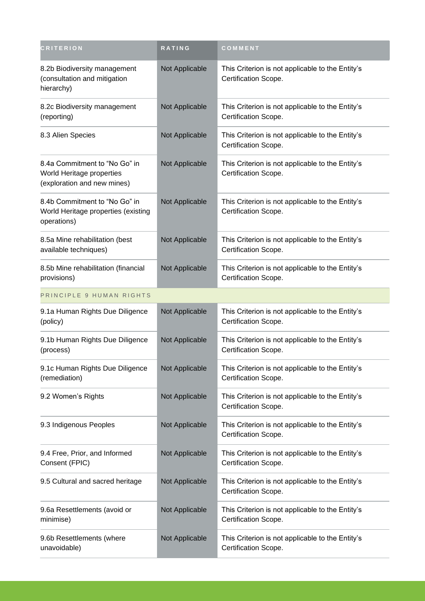| <b>CRITERION</b>                                                                          | <b>RATING</b>  | COMMENT                                                                  |
|-------------------------------------------------------------------------------------------|----------------|--------------------------------------------------------------------------|
| 8.2b Biodiversity management<br>(consultation and mitigation<br>hierarchy)                | Not Applicable | This Criterion is not applicable to the Entity's<br>Certification Scope. |
| 8.2c Biodiversity management<br>(reporting)                                               | Not Applicable | This Criterion is not applicable to the Entity's<br>Certification Scope. |
| 8.3 Alien Species                                                                         | Not Applicable | This Criterion is not applicable to the Entity's<br>Certification Scope. |
| 8.4a Commitment to "No Go" in<br>World Heritage properties<br>(exploration and new mines) | Not Applicable | This Criterion is not applicable to the Entity's<br>Certification Scope. |
| 8.4b Commitment to "No Go" in<br>World Heritage properties (existing<br>operations)       | Not Applicable | This Criterion is not applicable to the Entity's<br>Certification Scope. |
| 8.5a Mine rehabilitation (best<br>available techniques)                                   | Not Applicable | This Criterion is not applicable to the Entity's<br>Certification Scope. |
| 8.5b Mine rehabilitation (financial<br>provisions)                                        | Not Applicable | This Criterion is not applicable to the Entity's<br>Certification Scope. |
| PRINCIPLE 9 HUMAN RIGHTS                                                                  |                |                                                                          |
| 9.1a Human Rights Due Diligence<br>(policy)                                               | Not Applicable | This Criterion is not applicable to the Entity's<br>Certification Scope. |
| 9.1b Human Rights Due Diligence<br>(process)                                              | Not Applicable | This Criterion is not applicable to the Entity's<br>Certification Scope. |
| 9.1c Human Rights Due Diligence<br>(remediation)                                          | Not Applicable | This Criterion is not applicable to the Entity's<br>Certification Scope. |
| 9.2 Women's Rights                                                                        | Not Applicable | This Criterion is not applicable to the Entity's<br>Certification Scope. |
| 9.3 Indigenous Peoples                                                                    | Not Applicable | This Criterion is not applicable to the Entity's<br>Certification Scope. |
| 9.4 Free, Prior, and Informed<br>Consent (FPIC)                                           | Not Applicable | This Criterion is not applicable to the Entity's<br>Certification Scope. |
| 9.5 Cultural and sacred heritage                                                          | Not Applicable | This Criterion is not applicable to the Entity's<br>Certification Scope. |
| 9.6a Resettlements (avoid or<br>minimise)                                                 | Not Applicable | This Criterion is not applicable to the Entity's<br>Certification Scope. |
| 9.6b Resettlements (where<br>unavoidable)                                                 | Not Applicable | This Criterion is not applicable to the Entity's<br>Certification Scope. |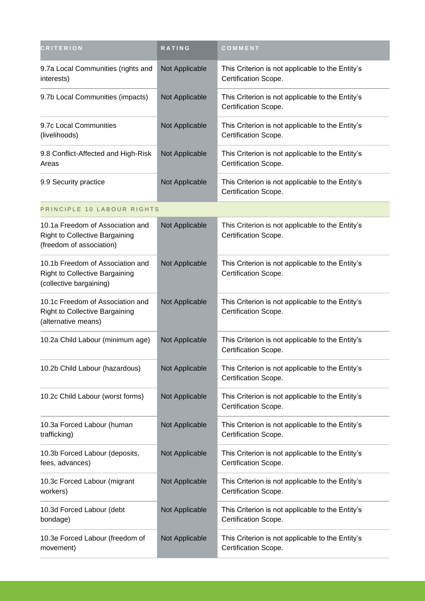| <b>CRITERION</b>                                                                                      | RATING         | COMMENT                                                                  |
|-------------------------------------------------------------------------------------------------------|----------------|--------------------------------------------------------------------------|
| 9.7a Local Communities (rights and<br>interests)                                                      | Not Applicable | This Criterion is not applicable to the Entity's<br>Certification Scope. |
| 9.7b Local Communities (impacts)                                                                      | Not Applicable | This Criterion is not applicable to the Entity's<br>Certification Scope. |
| 9.7c Local Communities<br>(livelihoods)                                                               | Not Applicable | This Criterion is not applicable to the Entity's<br>Certification Scope. |
| 9.8 Conflict-Affected and High-Risk<br>Areas                                                          | Not Applicable | This Criterion is not applicable to the Entity's<br>Certification Scope. |
| 9.9 Security practice                                                                                 | Not Applicable | This Criterion is not applicable to the Entity's<br>Certification Scope. |
| PRINCIPLE 10 LABOUR RIGHTS                                                                            |                |                                                                          |
| 10.1a Freedom of Association and<br><b>Right to Collective Bargaining</b><br>(freedom of association) | Not Applicable | This Criterion is not applicable to the Entity's<br>Certification Scope. |
| 10.1b Freedom of Association and<br><b>Right to Collective Bargaining</b><br>(collective bargaining)  | Not Applicable | This Criterion is not applicable to the Entity's<br>Certification Scope. |
| 10.1c Freedom of Association and<br><b>Right to Collective Bargaining</b><br>(alternative means)      | Not Applicable | This Criterion is not applicable to the Entity's<br>Certification Scope. |
| 10.2a Child Labour (minimum age)                                                                      | Not Applicable | This Criterion is not applicable to the Entity's<br>Certification Scope. |
| 10.2b Child Labour (hazardous)                                                                        | Not Applicable | This Criterion is not applicable to the Entity's<br>Certification Scope. |
| 10.2c Child Labour (worst forms)                                                                      | Not Applicable | This Criterion is not applicable to the Entity's<br>Certification Scope. |
| 10.3a Forced Labour (human<br>trafficking)                                                            | Not Applicable | This Criterion is not applicable to the Entity's<br>Certification Scope. |
| 10.3b Forced Labour (deposits,<br>fees, advances)                                                     | Not Applicable | This Criterion is not applicable to the Entity's<br>Certification Scope. |
| 10.3c Forced Labour (migrant<br>workers)                                                              | Not Applicable | This Criterion is not applicable to the Entity's<br>Certification Scope. |
| 10.3d Forced Labour (debt<br>bondage)                                                                 | Not Applicable | This Criterion is not applicable to the Entity's<br>Certification Scope. |
| 10.3e Forced Labour (freedom of<br>movement)                                                          | Not Applicable | This Criterion is not applicable to the Entity's<br>Certification Scope. |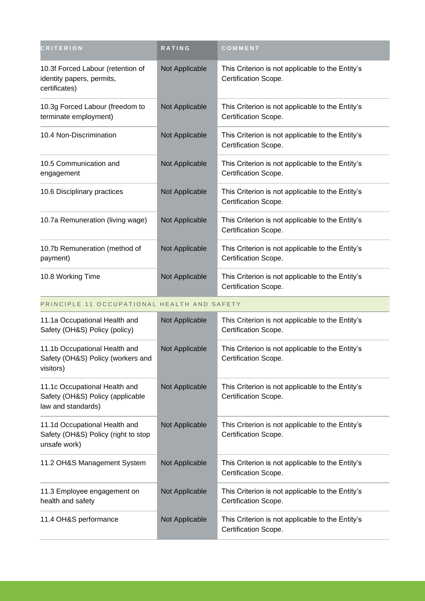| <b>CRITERION</b>                                                                | <b>RATING</b>  | COMMENT                                                                  |
|---------------------------------------------------------------------------------|----------------|--------------------------------------------------------------------------|
| 10.3f Forced Labour (retention of<br>identity papers, permits,<br>certificates) | Not Applicable | This Criterion is not applicable to the Entity's<br>Certification Scope. |
| 10.3g Forced Labour (freedom to<br>terminate employment)                        | Not Applicable | This Criterion is not applicable to the Entity's<br>Certification Scope. |
| 10.4 Non-Discrimination                                                         | Not Applicable | This Criterion is not applicable to the Entity's<br>Certification Scope. |
| 10.5 Communication and<br>engagement                                            | Not Applicable | This Criterion is not applicable to the Entity's<br>Certification Scope. |
| 10.6 Disciplinary practices                                                     | Not Applicable | This Criterion is not applicable to the Entity's<br>Certification Scope. |
| 10.7a Remuneration (living wage)                                                | Not Applicable | This Criterion is not applicable to the Entity's<br>Certification Scope. |
| 10.7b Remuneration (method of<br>payment)                                       | Not Applicable | This Criterion is not applicable to the Entity's<br>Certification Scope. |
| 10.8 Working Time                                                               | Not Applicable | This Criterion is not applicable to the Entity's<br>Certification Scope. |

PRINCIPLE 11 OCCUPATIONAL HEALTH AND SAFETY

| 11.1a Occupational Health and<br>Safety (OH&S) Policy (policy)                          | Not Applicable | This Criterion is not applicable to the Entity's<br>Certification Scope. |
|-----------------------------------------------------------------------------------------|----------------|--------------------------------------------------------------------------|
| 11.1b Occupational Health and<br>Safety (OH&S) Policy (workers and<br>visitors)         | Not Applicable | This Criterion is not applicable to the Entity's<br>Certification Scope. |
| 11.1c Occupational Health and<br>Safety (OH&S) Policy (applicable<br>law and standards) | Not Applicable | This Criterion is not applicable to the Entity's<br>Certification Scope. |
| 11.1d Occupational Health and<br>Safety (OH&S) Policy (right to stop<br>unsafe work)    | Not Applicable | This Criterion is not applicable to the Entity's<br>Certification Scope. |
| 11.2 OH&S Management System                                                             | Not Applicable | This Criterion is not applicable to the Entity's<br>Certification Scope. |
| 11.3 Employee engagement on<br>health and safety                                        | Not Applicable | This Criterion is not applicable to the Entity's<br>Certification Scope. |
| 11.4 OH&S performance                                                                   | Not Applicable | This Criterion is not applicable to the Entity's<br>Certification Scope. |